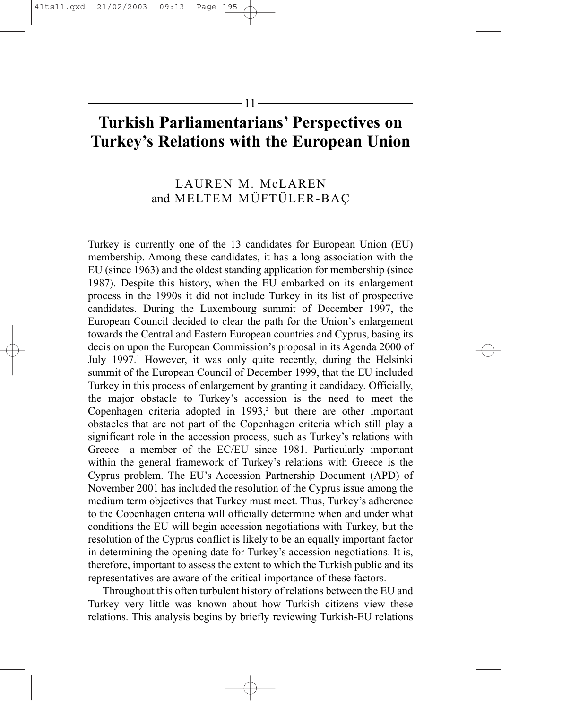21/02/2003

## **Turkish Parliamentarians' Perspectives on Turkey's Relations with the European Union**

11

## LAUREN M. McLAREN and MELTEM MÜFTÜLER-BAÇ

Turkey is currently one of the 13 candidates for European Union (EU) membership. Among these candidates, it has a long association with the EU (since 1963) and the oldest standing application for membership (since 1987). Despite this history, when the EU embarked on its enlargement process in the 1990s it did not include Turkey in its list of prospective candidates. During the Luxembourg summit of December 1997, the European Council decided to clear the path for the Union's enlargement towards the Central and Eastern European countries and Cyprus, basing its decision upon the European Commission's proposal in its Agenda 2000 of July 1997.<sup>1</sup> However, it was only quite recently, during the Helsinki summit of the European Council of December 1999, that the EU included Turkey in this process of enlargement by granting it candidacy. Officially, the major obstacle to Turkey's accession is the need to meet the Copenhagen criteria adopted in  $1993$ , but there are other important obstacles that are not part of the Copenhagen criteria which still play a significant role in the accession process, such as Turkey's relations with Greece—a member of the EC/EU since 1981. Particularly important within the general framework of Turkey's relations with Greece is the Cyprus problem. The EU's Accession Partnership Document (APD) of November 2001 has included the resolution of the Cyprus issue among the medium term objectives that Turkey must meet. Thus, Turkey's adherence to the Copenhagen criteria will officially determine when and under what conditions the EU will begin accession negotiations with Turkey, but the resolution of the Cyprus conflict is likely to be an equally important factor in determining the opening date for Turkey's accession negotiations. It is, therefore, important to assess the extent to which the Turkish public and its representatives are aware of the critical importance of these factors.

Throughout this often turbulent history of relations between the EU and Turkey very little was known about how Turkish citizens view these relations. This analysis begins by briefly reviewing Turkish-EU relations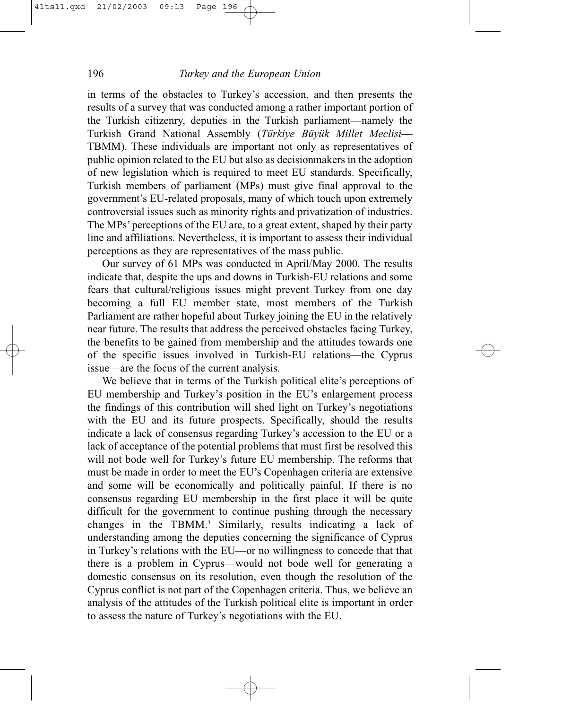in terms of the obstacles to Turkey's accession, and then presents the results of a survey that was conducted among a rather important portion of the Turkish citizenry, deputies in the Turkish parliament—namely the Turkish Grand National Assembly (*Türkiye Büyük Millet Meclisi*— TBMM). These individuals are important not only as representatives of public opinion related to the EU but also as decisionmakers in the adoption of new legislation which is required to meet EU standards. Specifically, Turkish members of parliament (MPs) must give final approval to the government's EU-related proposals, many of which touch upon extremely controversial issues such as minority rights and privatization of industries. The MPs' perceptions of the EU are, to a great extent, shaped by their party line and affiliations. Nevertheless, it is important to assess their individual perceptions as they are representatives of the mass public.

Our survey of 61 MPs was conducted in April/May 2000. The results indicate that, despite the ups and downs in Turkish-EU relations and some fears that cultural/religious issues might prevent Turkey from one day becoming a full EU member state, most members of the Turkish Parliament are rather hopeful about Turkey joining the EU in the relatively near future. The results that address the perceived obstacles facing Turkey, the benefits to be gained from membership and the attitudes towards one of the specific issues involved in Turkish-EU relations—the Cyprus issue—are the focus of the current analysis.

We believe that in terms of the Turkish political elite's perceptions of EU membership and Turkey's position in the EU's enlargement process the findings of this contribution will shed light on Turkey's negotiations with the EU and its future prospects. Specifically, should the results indicate a lack of consensus regarding Turkey's accession to the EU or a lack of acceptance of the potential problems that must first be resolved this will not bode well for Turkey's future EU membership. The reforms that must be made in order to meet the EU's Copenhagen criteria are extensive and some will be economically and politically painful. If there is no consensus regarding EU membership in the first place it will be quite difficult for the government to continue pushing through the necessary changes in the TBMM.3 Similarly, results indicating a lack of understanding among the deputies concerning the significance of Cyprus in Turkey's relations with the EU—or no willingness to concede that that there is a problem in Cyprus—would not bode well for generating a domestic consensus on its resolution, even though the resolution of the Cyprus conflict is not part of the Copenhagen criteria. Thus, we believe an analysis of the attitudes of the Turkish political elite is important in order to assess the nature of Turkey's negotiations with the EU.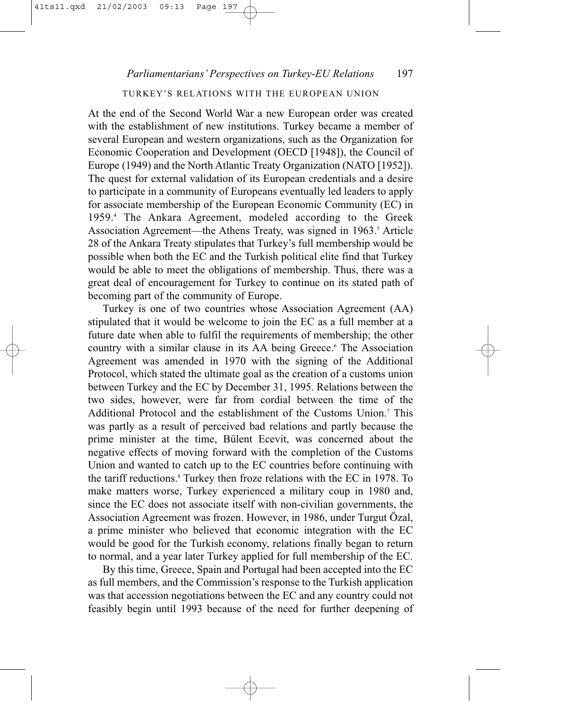## TURKEY'S RELATIONS WITH THE EUROPEAN UNION

At the end of the Second World War a new European order was created with the establishment of new institutions. Turkey became a member of several European and western organizations, such as the Organization for Economic Cooperation and Development (OECD [1948]), the Council of Europe (1949) and the North Atlantic Treaty Organization (NATO [1952]). The quest for external validation of its European credentials and a desire to participate in a community of Europeans eventually led leaders to apply for associate membership of the European Economic Community (EC) in 1959.4 The Ankara Agreement, modeled according to the Greek Association Agreement—the Athens Treaty, was signed in 1963.<sup>5</sup> Article 28 of the Ankara Treaty stipulates that Turkey's full membership would be possible when both the EC and the Turkish political elite find that Turkey would be able to meet the obligations of membership. Thus, there was a great deal of encouragement for Turkey to continue on its stated path of becoming part of the community of Europe.

Turkey is one of two countries whose Association Agreement (AA) stipulated that it would be welcome to join the EC as a full member at a future date when able to fulfil the requirements of membership; the other country with a similar clause in its AA being Greece.<sup>6</sup> The Association Agreement was amended in 1970 with the signing of the Additional Protocol, which stated the ultimate goal as the creation of a customs union between Turkey and the EC by December 31, 1995. Relations between the two sides, however, were far from cordial between the time of the Additional Protocol and the establishment of the Customs Union.7 This was partly as a result of perceived bad relations and partly because the prime minister at the time, Bülent Ecevit, was concerned about the negative effects of moving forward with the completion of the Customs Union and wanted to catch up to the EC countries before continuing with the tariff reductions.8 Turkey then froze relations with the EC in 1978. To make matters worse, Turkey experienced a military coup in 1980 and, since the EC does not associate itself with non-civilian governments, the Association Agreement was frozen. However, in 1986, under Turgut Özal, a prime minister who believed that economic integration with the EC would be good for the Turkish economy, relations finally began to return to normal, and a year later Turkey applied for full membership of the EC.

By this time, Greece, Spain and Portugal had been accepted into the EC as full members, and the Commission's response to the Turkish application was that accession negotiations between the EC and any country could not feasibly begin until 1993 because of the need for further deepening of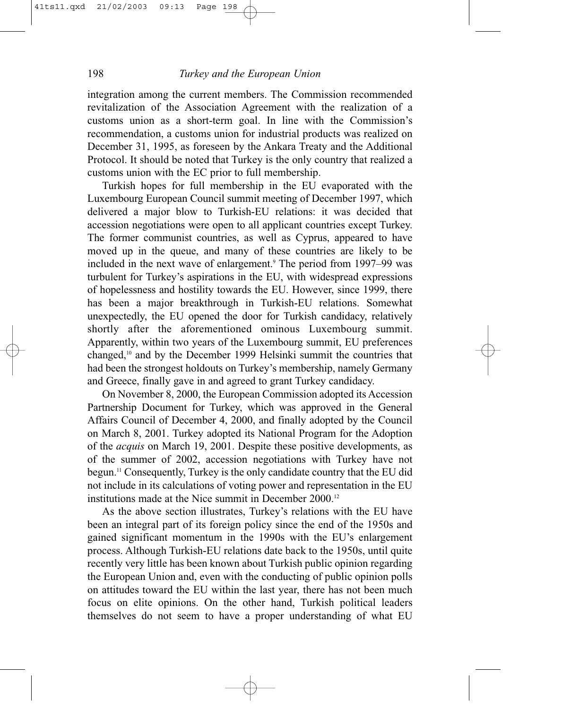integration among the current members. The Commission recommended revitalization of the Association Agreement with the realization of a customs union as a short-term goal. In line with the Commission's recommendation, a customs union for industrial products was realized on December 31, 1995, as foreseen by the Ankara Treaty and the Additional Protocol. It should be noted that Turkey is the only country that realized a customs union with the EC prior to full membership.

Turkish hopes for full membership in the EU evaporated with the Luxembourg European Council summit meeting of December 1997, which delivered a major blow to Turkish-EU relations: it was decided that accession negotiations were open to all applicant countries except Turkey. The former communist countries, as well as Cyprus, appeared to have moved up in the queue, and many of these countries are likely to be included in the next wave of enlargement.<sup>9</sup> The period from 1997–99 was turbulent for Turkey's aspirations in the EU, with widespread expressions of hopelessness and hostility towards the EU. However, since 1999, there has been a major breakthrough in Turkish-EU relations. Somewhat unexpectedly, the EU opened the door for Turkish candidacy, relatively shortly after the aforementioned ominous Luxembourg summit. Apparently, within two years of the Luxembourg summit, EU preferences changed,10 and by the December 1999 Helsinki summit the countries that had been the strongest holdouts on Turkey's membership, namely Germany and Greece, finally gave in and agreed to grant Turkey candidacy.

On November 8, 2000, the European Commission adopted its Accession Partnership Document for Turkey, which was approved in the General Affairs Council of December 4, 2000, and finally adopted by the Council on March 8, 2001. Turkey adopted its National Program for the Adoption of the *acquis* on March 19, 2001. Despite these positive developments, as of the summer of 2002, accession negotiations with Turkey have not begun.11 Consequently, Turkey is the only candidate country that the EU did not include in its calculations of voting power and representation in the EU institutions made at the Nice summit in December 2000.<sup>12</sup>

As the above section illustrates, Turkey's relations with the EU have been an integral part of its foreign policy since the end of the 1950s and gained significant momentum in the 1990s with the EU's enlargement process. Although Turkish-EU relations date back to the 1950s, until quite recently very little has been known about Turkish public opinion regarding the European Union and, even with the conducting of public opinion polls on attitudes toward the EU within the last year, there has not been much focus on elite opinions. On the other hand, Turkish political leaders themselves do not seem to have a proper understanding of what EU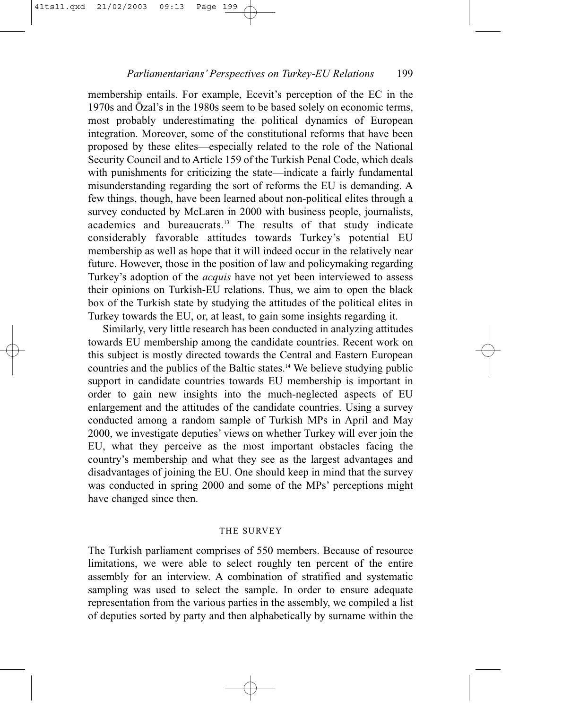membership entails. For example, Ecevit's perception of the EC in the 1970s and Özal's in the 1980s seem to be based solely on economic terms, most probably underestimating the political dynamics of European integration. Moreover, some of the constitutional reforms that have been proposed by these elites—especially related to the role of the National Security Council and to Article 159 of the Turkish Penal Code, which deals with punishments for criticizing the state—indicate a fairly fundamental misunderstanding regarding the sort of reforms the EU is demanding. A few things, though, have been learned about non-political elites through a survey conducted by McLaren in 2000 with business people, journalists, academics and bureaucrats.<sup>13</sup> The results of that study indicate considerably favorable attitudes towards Turkey's potential EU membership as well as hope that it will indeed occur in the relatively near future. However, those in the position of law and policymaking regarding Turkey's adoption of the *acquis* have not yet been interviewed to assess their opinions on Turkish-EU relations. Thus, we aim to open the black box of the Turkish state by studying the attitudes of the political elites in Turkey towards the EU, or, at least, to gain some insights regarding it.

Similarly, very little research has been conducted in analyzing attitudes towards EU membership among the candidate countries. Recent work on this subject is mostly directed towards the Central and Eastern European countries and the publics of the Baltic states.14 We believe studying public support in candidate countries towards EU membership is important in order to gain new insights into the much-neglected aspects of EU enlargement and the attitudes of the candidate countries. Using a survey conducted among a random sample of Turkish MPs in April and May 2000, we investigate deputies' views on whether Turkey will ever join the EU, what they perceive as the most important obstacles facing the country's membership and what they see as the largest advantages and disadvantages of joining the EU. One should keep in mind that the survey was conducted in spring 2000 and some of the MPs' perceptions might have changed since then.

#### THE SURVEY

The Turkish parliament comprises of 550 members. Because of resource limitations, we were able to select roughly ten percent of the entire assembly for an interview. A combination of stratified and systematic sampling was used to select the sample. In order to ensure adequate representation from the various parties in the assembly, we compiled a list of deputies sorted by party and then alphabetically by surname within the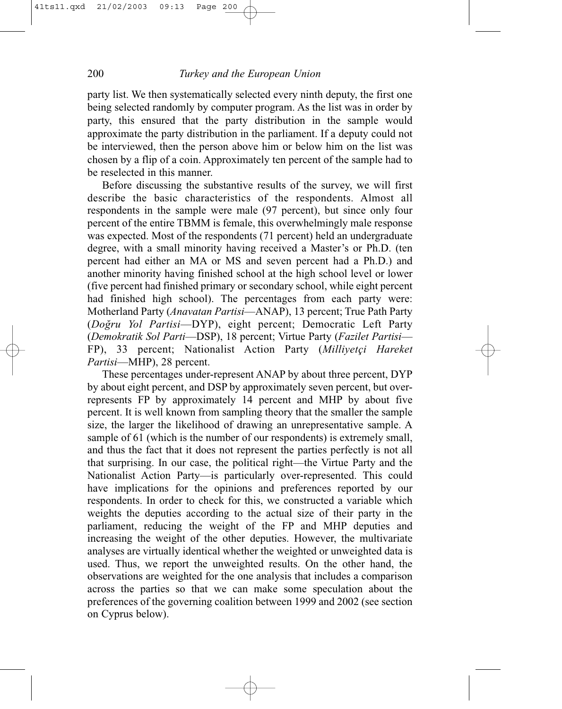party list. We then systematically selected every ninth deputy, the first one being selected randomly by computer program. As the list was in order by party, this ensured that the party distribution in the sample would approximate the party distribution in the parliament. If a deputy could not be interviewed, then the person above him or below him on the list was chosen by a flip of a coin. Approximately ten percent of the sample had to be reselected in this manner.

Before discussing the substantive results of the survey, we will first describe the basic characteristics of the respondents. Almost all respondents in the sample were male (97 percent), but since only four percent of the entire TBMM is female, this overwhelmingly male response was expected. Most of the respondents (71 percent) held an undergraduate degree, with a small minority having received a Master's or Ph.D. (ten percent had either an MA or MS and seven percent had a Ph.D.) and another minority having finished school at the high school level or lower (five percent had finished primary or secondary school, while eight percent had finished high school). The percentages from each party were: Motherland Party (*Anavatan Partisi*—ANAP), 13 percent; True Path Party (*Doğru Yol Partisi*—DYP), eight percent; Democratic Left Party (*Demokratik Sol Parti*—DSP), 18 percent; Virtue Party (*Fazilet Partisi*— FP), 33 percent; Nationalist Action Party (*Milliyetçi Hareket Partisi*—MHP), 28 percent.

These percentages under-represent ANAP by about three percent, DYP by about eight percent, and DSP by approximately seven percent, but overrepresents FP by approximately 14 percent and MHP by about five percent. It is well known from sampling theory that the smaller the sample size, the larger the likelihood of drawing an unrepresentative sample. A sample of 61 (which is the number of our respondents) is extremely small, and thus the fact that it does not represent the parties perfectly is not all that surprising. In our case, the political right—the Virtue Party and the Nationalist Action Party—is particularly over-represented. This could have implications for the opinions and preferences reported by our respondents. In order to check for this, we constructed a variable which weights the deputies according to the actual size of their party in the parliament, reducing the weight of the FP and MHP deputies and increasing the weight of the other deputies. However, the multivariate analyses are virtually identical whether the weighted or unweighted data is used. Thus, we report the unweighted results. On the other hand, the observations are weighted for the one analysis that includes a comparison across the parties so that we can make some speculation about the preferences of the governing coalition between 1999 and 2002 (see section on Cyprus below).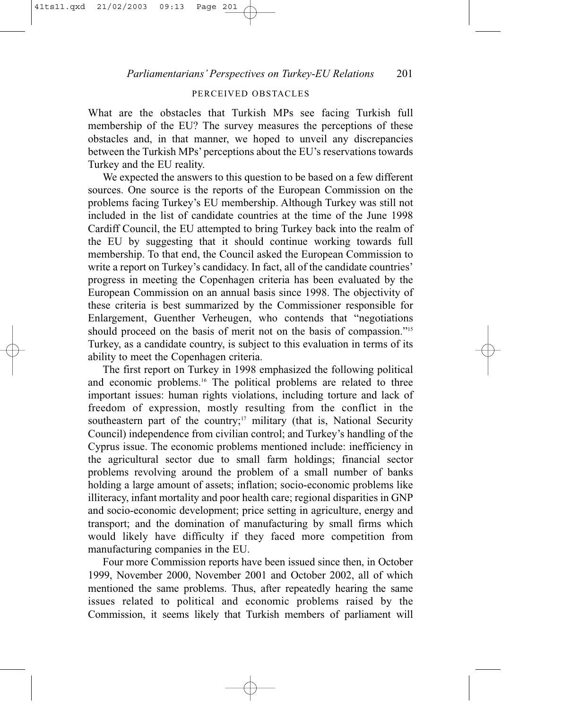#### PERCEIVED OBSTACLES

What are the obstacles that Turkish MPs see facing Turkish full membership of the EU? The survey measures the perceptions of these obstacles and, in that manner, we hoped to unveil any discrepancies between the Turkish MPs' perceptions about the EU's reservations towards Turkey and the EU reality.

We expected the answers to this question to be based on a few different sources. One source is the reports of the European Commission on the problems facing Turkey's EU membership. Although Turkey was still not included in the list of candidate countries at the time of the June 1998 Cardiff Council, the EU attempted to bring Turkey back into the realm of the EU by suggesting that it should continue working towards full membership. To that end, the Council asked the European Commission to write a report on Turkey's candidacy. In fact, all of the candidate countries' progress in meeting the Copenhagen criteria has been evaluated by the European Commission on an annual basis since 1998. The objectivity of these criteria is best summarized by the Commissioner responsible for Enlargement, Guenther Verheugen, who contends that "negotiations should proceed on the basis of merit not on the basis of compassion."<sup>15</sup> Turkey, as a candidate country, is subject to this evaluation in terms of its ability to meet the Copenhagen criteria.

The first report on Turkey in 1998 emphasized the following political and economic problems.16 The political problems are related to three important issues: human rights violations, including torture and lack of freedom of expression, mostly resulting from the conflict in the southeastern part of the country;<sup>17</sup> military (that is, National Security Council) independence from civilian control; and Turkey's handling of the Cyprus issue. The economic problems mentioned include: inefficiency in the agricultural sector due to small farm holdings; financial sector problems revolving around the problem of a small number of banks holding a large amount of assets; inflation; socio-economic problems like illiteracy, infant mortality and poor health care; regional disparities in GNP and socio-economic development; price setting in agriculture, energy and transport; and the domination of manufacturing by small firms which would likely have difficulty if they faced more competition from manufacturing companies in the EU.

Four more Commission reports have been issued since then, in October 1999, November 2000, November 2001 and October 2002, all of which mentioned the same problems. Thus, after repeatedly hearing the same issues related to political and economic problems raised by the Commission, it seems likely that Turkish members of parliament will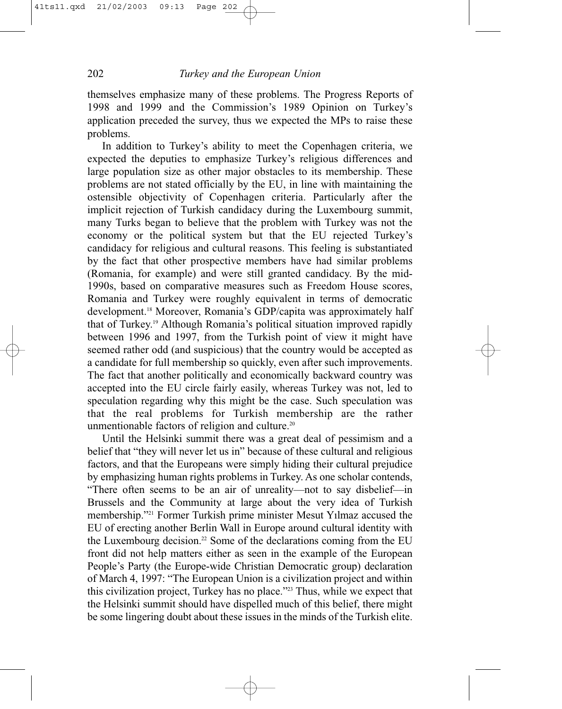themselves emphasize many of these problems. The Progress Reports of 1998 and 1999 and the Commission's 1989 Opinion on Turkey's application preceded the survey, thus we expected the MPs to raise these problems.

In addition to Turkey's ability to meet the Copenhagen criteria, we expected the deputies to emphasize Turkey's religious differences and large population size as other major obstacles to its membership. These problems are not stated officially by the EU, in line with maintaining the ostensible objectivity of Copenhagen criteria. Particularly after the implicit rejection of Turkish candidacy during the Luxembourg summit, many Turks began to believe that the problem with Turkey was not the economy or the political system but that the EU rejected Turkey's candidacy for religious and cultural reasons. This feeling is substantiated by the fact that other prospective members have had similar problems (Romania, for example) and were still granted candidacy. By the mid-1990s, based on comparative measures such as Freedom House scores, Romania and Turkey were roughly equivalent in terms of democratic development.<sup>18</sup> Moreover, Romania's GDP/capita was approximately half that of Turkey.19 Although Romania's political situation improved rapidly between 1996 and 1997, from the Turkish point of view it might have seemed rather odd (and suspicious) that the country would be accepted as a candidate for full membership so quickly, even after such improvements. The fact that another politically and economically backward country was accepted into the EU circle fairly easily, whereas Turkey was not, led to speculation regarding why this might be the case. Such speculation was that the real problems for Turkish membership are the rather unmentionable factors of religion and culture.<sup>20</sup>

Until the Helsinki summit there was a great deal of pessimism and a belief that "they will never let us in" because of these cultural and religious factors, and that the Europeans were simply hiding their cultural prejudice by emphasizing human rights problems in Turkey. As one scholar contends, "There often seems to be an air of unreality—not to say disbelief—in Brussels and the Community at large about the very idea of Turkish membership."21 Former Turkish prime minister Mesut Yılmaz accused the EU of erecting another Berlin Wall in Europe around cultural identity with the Luxembourg decision.<sup>22</sup> Some of the declarations coming from the EU front did not help matters either as seen in the example of the European People's Party (the Europe-wide Christian Democratic group) declaration of March 4, 1997: "The European Union is a civilization project and within this civilization project, Turkey has no place."23 Thus, while we expect that the Helsinki summit should have dispelled much of this belief, there might be some lingering doubt about these issues in the minds of the Turkish elite.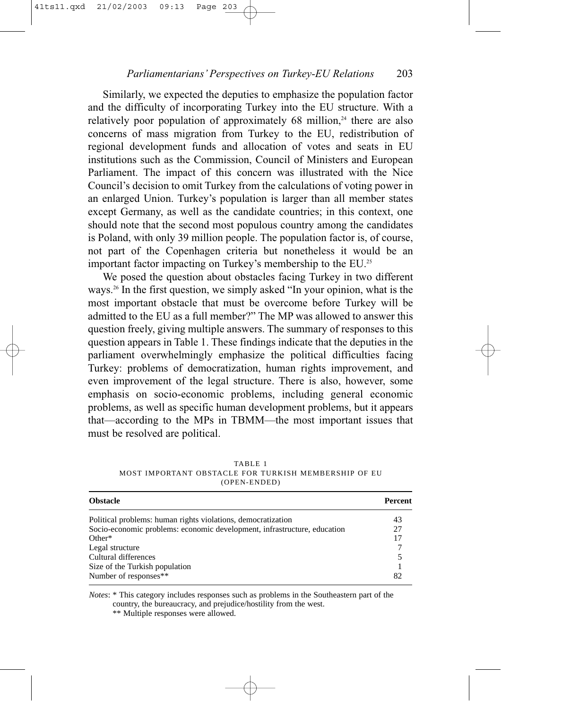Similarly, we expected the deputies to emphasize the population factor and the difficulty of incorporating Turkey into the EU structure. With a relatively poor population of approximately  $68$  million,<sup>24</sup> there are also concerns of mass migration from Turkey to the EU, redistribution of regional development funds and allocation of votes and seats in EU institutions such as the Commission, Council of Ministers and European Parliament. The impact of this concern was illustrated with the Nice Council's decision to omit Turkey from the calculations of voting power in an enlarged Union. Turkey's population is larger than all member states except Germany, as well as the candidate countries; in this context, one should note that the second most populous country among the candidates is Poland, with only 39 million people. The population factor is, of course, not part of the Copenhagen criteria but nonetheless it would be an important factor impacting on Turkey's membership to the EU.25

We posed the question about obstacles facing Turkey in two different ways.<sup>26</sup> In the first question, we simply asked "In your opinion, what is the most important obstacle that must be overcome before Turkey will be admitted to the EU as a full member?" The MP was allowed to answer this question freely, giving multiple answers. The summary of responses to this question appears in Table 1. These findings indicate that the deputies in the parliament overwhelmingly emphasize the political difficulties facing Turkey: problems of democratization, human rights improvement, and even improvement of the legal structure. There is also, however, some emphasis on socio-economic problems, including general economic problems, as well as specific human development problems, but it appears that—according to the MPs in TBMM—the most important issues that must be resolved are political.

TABLE 1 MOST IMPORTANT OBSTACLE FOR TURKISH MEMBERSHIP OF EU (OPEN-ENDED)

| <b>Obstacle</b>                                                          |    |
|--------------------------------------------------------------------------|----|
| Political problems: human rights violations, democratization             | 43 |
| Socio-economic problems: economic development, infrastructure, education | 27 |
| $Other*$                                                                 |    |
| Legal structure                                                          |    |
| Cultural differences                                                     |    |
| Size of the Turkish population                                           |    |
| Number of responses**                                                    | 82 |

*Notes*: \* This category includes responses such as problems in the Southeastern part of the country, the bureaucracy, and prejudice/hostility from the west.

\*\* Multiple responses were allowed.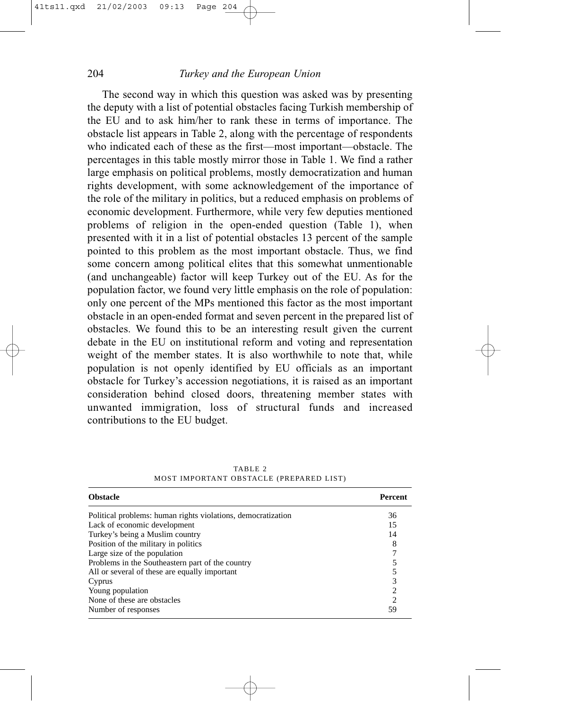The second way in which this question was asked was by presenting the deputy with a list of potential obstacles facing Turkish membership of the EU and to ask him/her to rank these in terms of importance. The obstacle list appears in Table 2, along with the percentage of respondents who indicated each of these as the first—most important—obstacle. The percentages in this table mostly mirror those in Table 1. We find a rather large emphasis on political problems, mostly democratization and human rights development, with some acknowledgement of the importance of the role of the military in politics, but a reduced emphasis on problems of economic development. Furthermore, while very few deputies mentioned problems of religion in the open-ended question (Table 1), when presented with it in a list of potential obstacles 13 percent of the sample pointed to this problem as the most important obstacle. Thus, we find some concern among political elites that this somewhat unmentionable (and unchangeable) factor will keep Turkey out of the EU. As for the population factor, we found very little emphasis on the role of population: only one percent of the MPs mentioned this factor as the most important obstacle in an open-ended format and seven percent in the prepared list of obstacles. We found this to be an interesting result given the current debate in the EU on institutional reform and voting and representation weight of the member states. It is also worthwhile to note that, while population is not openly identified by EU officials as an important obstacle for Turkey's accession negotiations, it is raised as an important consideration behind closed doors, threatening member states with unwanted immigration, loss of structural funds and increased contributions to the EU budget.

TABLE 2 MOST IMPORTANT OBSTACLE (PREPARED LIST)

| <b>Obstacle</b>                                              | Percent        |
|--------------------------------------------------------------|----------------|
| Political problems: human rights violations, democratization | 36             |
| Lack of economic development                                 | 15             |
| Turkey's being a Muslim country                              | 14             |
| Position of the military in politics                         | 8              |
| Large size of the population                                 | 7              |
| Problems in the Southeastern part of the country             |                |
| All or several of these are equally important                |                |
| Cyprus                                                       | 3              |
| Young population                                             | 2              |
| None of these are obstacles                                  | $\overline{c}$ |
| Number of responses                                          | 59             |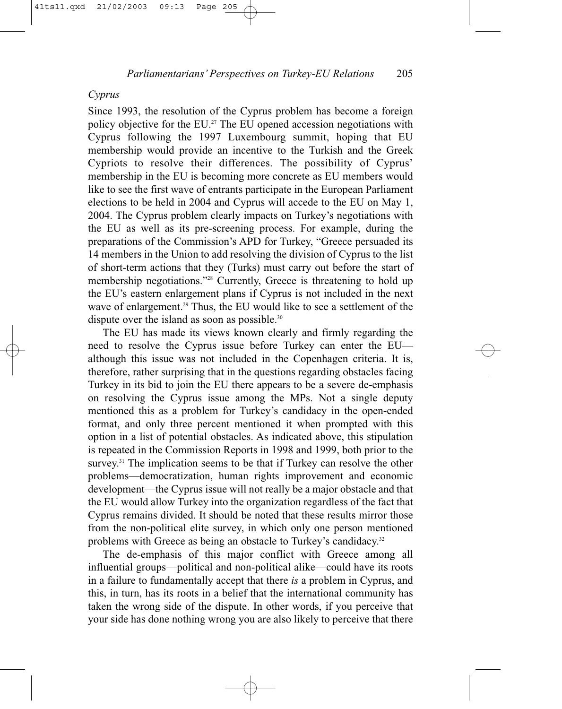#### *Cyprus*

Since 1993, the resolution of the Cyprus problem has become a foreign policy objective for the EU.27 The EU opened accession negotiations with Cyprus following the 1997 Luxembourg summit, hoping that EU membership would provide an incentive to the Turkish and the Greek Cypriots to resolve their differences. The possibility of Cyprus' membership in the EU is becoming more concrete as EU members would like to see the first wave of entrants participate in the European Parliament elections to be held in 2004 and Cyprus will accede to the EU on May 1, 2004. The Cyprus problem clearly impacts on Turkey's negotiations with the EU as well as its pre-screening process. For example, during the preparations of the Commission's APD for Turkey, "Greece persuaded its 14 members in the Union to add resolving the division of Cyprus to the list of short-term actions that they (Turks) must carry out before the start of membership negotiations."28 Currently, Greece is threatening to hold up the EU's eastern enlargement plans if Cyprus is not included in the next wave of enlargement.<sup>29</sup> Thus, the EU would like to see a settlement of the dispute over the island as soon as possible.<sup>30</sup>

The EU has made its views known clearly and firmly regarding the need to resolve the Cyprus issue before Turkey can enter the EU although this issue was not included in the Copenhagen criteria. It is, therefore, rather surprising that in the questions regarding obstacles facing Turkey in its bid to join the EU there appears to be a severe de-emphasis on resolving the Cyprus issue among the MPs. Not a single deputy mentioned this as a problem for Turkey's candidacy in the open-ended format, and only three percent mentioned it when prompted with this option in a list of potential obstacles. As indicated above, this stipulation is repeated in the Commission Reports in 1998 and 1999, both prior to the survey.<sup>31</sup> The implication seems to be that if Turkey can resolve the other problems—democratization, human rights improvement and economic development—the Cyprus issue will not really be a major obstacle and that the EU would allow Turkey into the organization regardless of the fact that Cyprus remains divided. It should be noted that these results mirror those from the non-political elite survey, in which only one person mentioned problems with Greece as being an obstacle to Turkey's candidacy.<sup>32</sup>

The de-emphasis of this major conflict with Greece among all influential groups—political and non-political alike—could have its roots in a failure to fundamentally accept that there *is* a problem in Cyprus, and this, in turn, has its roots in a belief that the international community has taken the wrong side of the dispute. In other words, if you perceive that your side has done nothing wrong you are also likely to perceive that there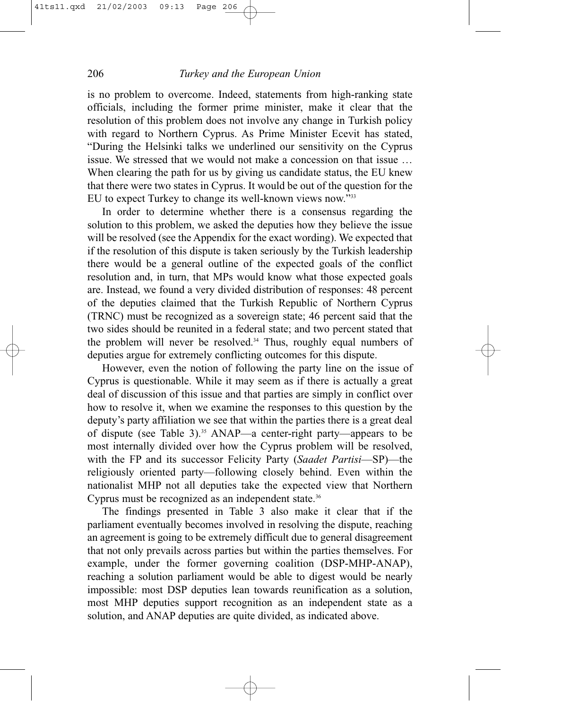is no problem to overcome. Indeed, statements from high-ranking state officials, including the former prime minister, make it clear that the resolution of this problem does not involve any change in Turkish policy with regard to Northern Cyprus. As Prime Minister Ecevit has stated, "During the Helsinki talks we underlined our sensitivity on the Cyprus issue. We stressed that we would not make a concession on that issue … When clearing the path for us by giving us candidate status, the EU knew that there were two states in Cyprus. It would be out of the question for the EU to expect Turkey to change its well-known views now."33

In order to determine whether there is a consensus regarding the solution to this problem, we asked the deputies how they believe the issue will be resolved (see the Appendix for the exact wording). We expected that if the resolution of this dispute is taken seriously by the Turkish leadership there would be a general outline of the expected goals of the conflict resolution and, in turn, that MPs would know what those expected goals are. Instead, we found a very divided distribution of responses: 48 percent of the deputies claimed that the Turkish Republic of Northern Cyprus (TRNC) must be recognized as a sovereign state; 46 percent said that the two sides should be reunited in a federal state; and two percent stated that the problem will never be resolved.<sup>34</sup> Thus, roughly equal numbers of deputies argue for extremely conflicting outcomes for this dispute.

However, even the notion of following the party line on the issue of Cyprus is questionable. While it may seem as if there is actually a great deal of discussion of this issue and that parties are simply in conflict over how to resolve it, when we examine the responses to this question by the deputy's party affiliation we see that within the parties there is a great deal of dispute (see Table 3).<sup>35</sup> ANAP—a center-right party—appears to be most internally divided over how the Cyprus problem will be resolved, with the FP and its successor Felicity Party (*Saadet Partisi*—SP)—the religiously oriented party—following closely behind. Even within the nationalist MHP not all deputies take the expected view that Northern Cyprus must be recognized as an independent state.<sup>36</sup>

The findings presented in Table 3 also make it clear that if the parliament eventually becomes involved in resolving the dispute, reaching an agreement is going to be extremely difficult due to general disagreement that not only prevails across parties but within the parties themselves. For example, under the former governing coalition (DSP-MHP-ANAP), reaching a solution parliament would be able to digest would be nearly impossible: most DSP deputies lean towards reunification as a solution, most MHP deputies support recognition as an independent state as a solution, and ANAP deputies are quite divided, as indicated above.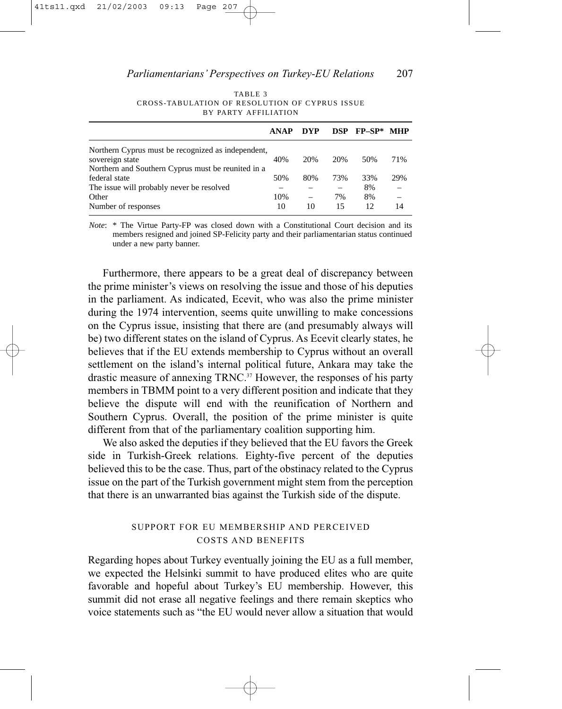| BY PARTY AFFILIATION                               |                 |     |     |                |     |
|----------------------------------------------------|-----------------|-----|-----|----------------|-----|
|                                                    | <b>ANAP DYP</b> |     |     | DSP FP-SP* MHP |     |
| Northern Cyprus must be recognized as independent, |                 |     |     |                |     |
| sovereign state                                    | 40%             | 20% | 20% | 50%            | 71% |
| Northern and Southern Cyprus must be reunited in a |                 |     |     |                |     |
| federal state                                      | 50%             | 80% | 73% | 33%            | 29% |
| The issue will probably never be resolved          |                 |     |     | 8%             |     |
| Other                                              | 10%             |     | 7%  | 8%             |     |

Other 10% – 7% 8% – Number of responses 10 10 15 12 14

TABLE 3 CROSS-TABULATION OF RESOLUTION OF CYPRUS ISSUE

*Note*: \* The Virtue Party-FP was closed down with a Constitutional Court decision and its members resigned and joined SP-Felicity party and their parliamentarian status continued under a new party banner.

Furthermore, there appears to be a great deal of discrepancy between the prime minister's views on resolving the issue and those of his deputies in the parliament. As indicated, Ecevit, who was also the prime minister during the 1974 intervention, seems quite unwilling to make concessions on the Cyprus issue, insisting that there are (and presumably always will be) two different states on the island of Cyprus. As Ecevit clearly states, he believes that if the EU extends membership to Cyprus without an overall settlement on the island's internal political future, Ankara may take the drastic measure of annexing TRNC.<sup>37</sup> However, the responses of his party members in TBMM point to a very different position and indicate that they believe the dispute will end with the reunification of Northern and Southern Cyprus. Overall, the position of the prime minister is quite different from that of the parliamentary coalition supporting him.

We also asked the deputies if they believed that the EU favors the Greek side in Turkish-Greek relations. Eighty-five percent of the deputies believed this to be the case. Thus, part of the obstinacy related to the Cyprus issue on the part of the Turkish government might stem from the perception that there is an unwarranted bias against the Turkish side of the dispute.

## SUPPORT FOR EU MEMBERSHIP AND PERCEIVED COSTS AND BENEFITS

Regarding hopes about Turkey eventually joining the EU as a full member, we expected the Helsinki summit to have produced elites who are quite favorable and hopeful about Turkey's EU membership. However, this summit did not erase all negative feelings and there remain skeptics who voice statements such as "the EU would never allow a situation that would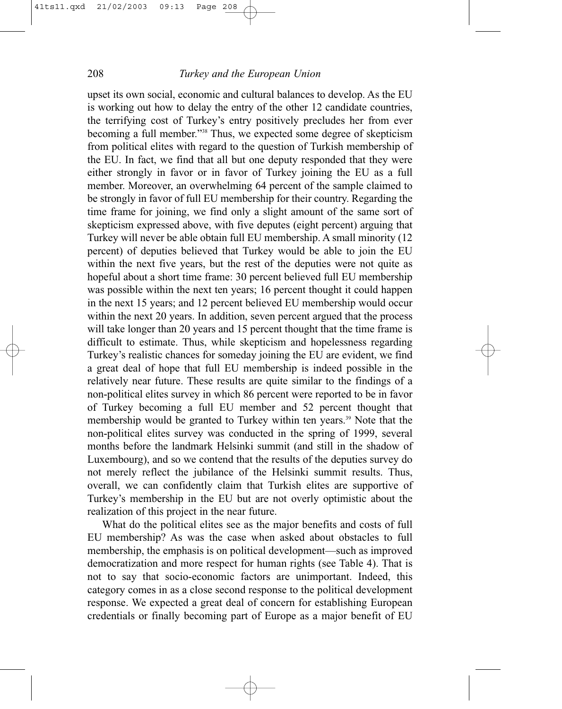upset its own social, economic and cultural balances to develop. As the EU is working out how to delay the entry of the other 12 candidate countries, the terrifying cost of Turkey's entry positively precludes her from ever becoming a full member."38 Thus, we expected some degree of skepticism from political elites with regard to the question of Turkish membership of the EU. In fact, we find that all but one deputy responded that they were either strongly in favor or in favor of Turkey joining the EU as a full member. Moreover, an overwhelming 64 percent of the sample claimed to be strongly in favor of full EU membership for their country. Regarding the time frame for joining, we find only a slight amount of the same sort of skepticism expressed above, with five deputes (eight percent) arguing that Turkey will never be able obtain full EU membership. A small minority (12 percent) of deputies believed that Turkey would be able to join the EU within the next five years, but the rest of the deputies were not quite as hopeful about a short time frame: 30 percent believed full EU membership was possible within the next ten years; 16 percent thought it could happen in the next 15 years; and 12 percent believed EU membership would occur within the next 20 years. In addition, seven percent argued that the process will take longer than 20 years and 15 percent thought that the time frame is difficult to estimate. Thus, while skepticism and hopelessness regarding Turkey's realistic chances for someday joining the EU are evident, we find a great deal of hope that full EU membership is indeed possible in the relatively near future. These results are quite similar to the findings of a non-political elites survey in which 86 percent were reported to be in favor of Turkey becoming a full EU member and 52 percent thought that membership would be granted to Turkey within ten years.39 Note that the non-political elites survey was conducted in the spring of 1999, several months before the landmark Helsinki summit (and still in the shadow of Luxembourg), and so we contend that the results of the deputies survey do not merely reflect the jubilance of the Helsinki summit results. Thus, overall, we can confidently claim that Turkish elites are supportive of Turkey's membership in the EU but are not overly optimistic about the realization of this project in the near future.

What do the political elites see as the major benefits and costs of full EU membership? As was the case when asked about obstacles to full membership, the emphasis is on political development—such as improved democratization and more respect for human rights (see Table 4). That is not to say that socio-economic factors are unimportant. Indeed, this category comes in as a close second response to the political development response. We expected a great deal of concern for establishing European credentials or finally becoming part of Europe as a major benefit of EU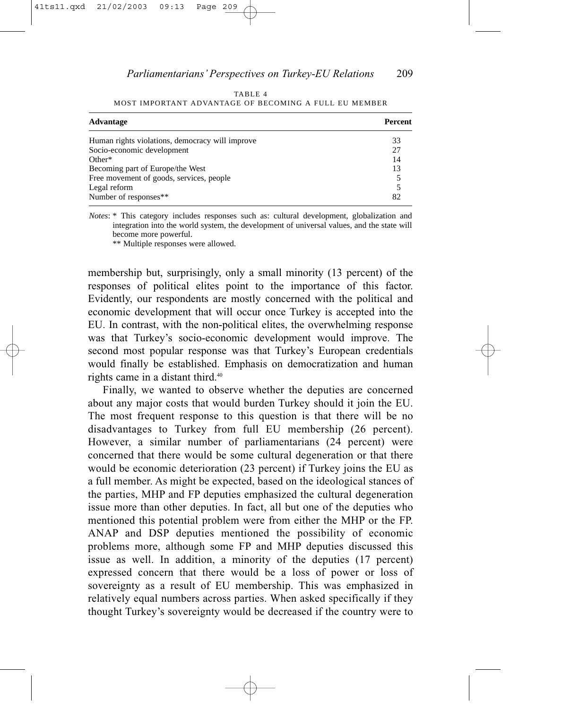TABLE 4

| Advantage                                       | Percent |
|-------------------------------------------------|---------|
| Human rights violations, democracy will improve | 33      |
| Socio-economic development                      | 27      |
| $Other*$                                        | 14      |
| Becoming part of Europe/the West                | 13      |
| Free movement of goods, services, people        |         |
| Legal reform                                    |         |
| Number of responses**                           | 82      |

MOST IMPORTANT ADVANTAGE OF BECOMING A FULL EU MEMBER

*Notes*: \* This category includes responses such as: cultural development, globalization and integration into the world system, the development of universal values, and the state will become more powerful.

\*\* Multiple responses were allowed.

membership but, surprisingly, only a small minority (13 percent) of the responses of political elites point to the importance of this factor. Evidently, our respondents are mostly concerned with the political and economic development that will occur once Turkey is accepted into the EU. In contrast, with the non-political elites, the overwhelming response was that Turkey's socio-economic development would improve. The second most popular response was that Turkey's European credentials would finally be established. Emphasis on democratization and human rights came in a distant third.<sup>40</sup>

Finally, we wanted to observe whether the deputies are concerned about any major costs that would burden Turkey should it join the EU. The most frequent response to this question is that there will be no disadvantages to Turkey from full EU membership (26 percent). However, a similar number of parliamentarians (24 percent) were concerned that there would be some cultural degeneration or that there would be economic deterioration (23 percent) if Turkey joins the EU as a full member. As might be expected, based on the ideological stances of the parties, MHP and FP deputies emphasized the cultural degeneration issue more than other deputies. In fact, all but one of the deputies who mentioned this potential problem were from either the MHP or the FP. ANAP and DSP deputies mentioned the possibility of economic problems more, although some FP and MHP deputies discussed this issue as well. In addition, a minority of the deputies (17 percent) expressed concern that there would be a loss of power or loss of sovereignty as a result of EU membership. This was emphasized in relatively equal numbers across parties. When asked specifically if they thought Turkey's sovereignty would be decreased if the country were to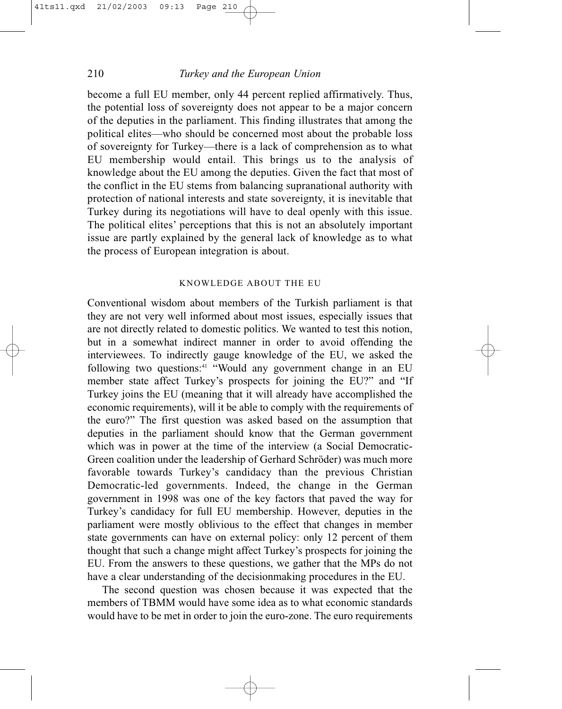become a full EU member, only 44 percent replied affirmatively. Thus, the potential loss of sovereignty does not appear to be a major concern of the deputies in the parliament. This finding illustrates that among the political elites—who should be concerned most about the probable loss of sovereignty for Turkey—there is a lack of comprehension as to what EU membership would entail. This brings us to the analysis of knowledge about the EU among the deputies. Given the fact that most of the conflict in the EU stems from balancing supranational authority with protection of national interests and state sovereignty, it is inevitable that Turkey during its negotiations will have to deal openly with this issue. The political elites' perceptions that this is not an absolutely important issue are partly explained by the general lack of knowledge as to what the process of European integration is about.

## KNOWLEDGE ABOUT THE EU

Conventional wisdom about members of the Turkish parliament is that they are not very well informed about most issues, especially issues that are not directly related to domestic politics. We wanted to test this notion, but in a somewhat indirect manner in order to avoid offending the interviewees. To indirectly gauge knowledge of the EU, we asked the following two questions:<sup>41</sup> "Would any government change in an EU member state affect Turkey's prospects for joining the EU?" and "If Turkey joins the EU (meaning that it will already have accomplished the economic requirements), will it be able to comply with the requirements of the euro?" The first question was asked based on the assumption that deputies in the parliament should know that the German government which was in power at the time of the interview (a Social Democratic-Green coalition under the leadership of Gerhard Schröder) was much more favorable towards Turkey's candidacy than the previous Christian Democratic-led governments. Indeed, the change in the German government in 1998 was one of the key factors that paved the way for Turkey's candidacy for full EU membership. However, deputies in the parliament were mostly oblivious to the effect that changes in member state governments can have on external policy: only 12 percent of them thought that such a change might affect Turkey's prospects for joining the EU. From the answers to these questions, we gather that the MPs do not have a clear understanding of the decisionmaking procedures in the EU.

The second question was chosen because it was expected that the members of TBMM would have some idea as to what economic standards would have to be met in order to join the euro-zone. The euro requirements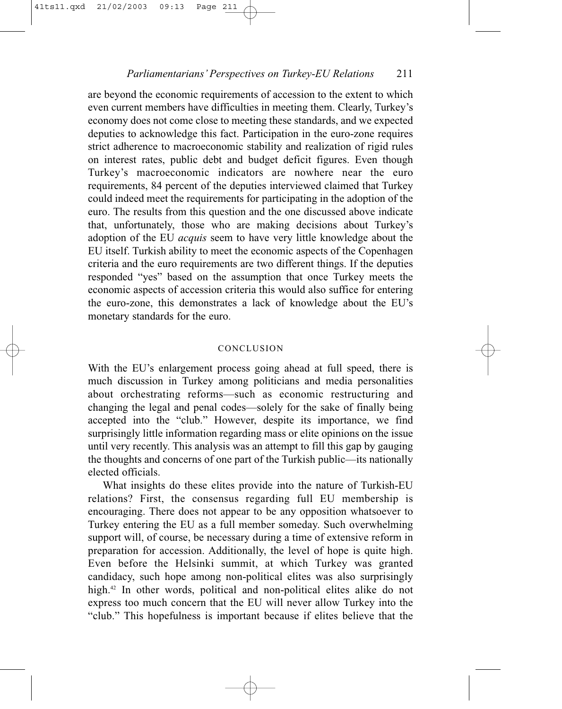are beyond the economic requirements of accession to the extent to which even current members have difficulties in meeting them. Clearly, Turkey's economy does not come close to meeting these standards, and we expected deputies to acknowledge this fact. Participation in the euro-zone requires strict adherence to macroeconomic stability and realization of rigid rules on interest rates, public debt and budget deficit figures. Even though Turkey's macroeconomic indicators are nowhere near the euro requirements, 84 percent of the deputies interviewed claimed that Turkey could indeed meet the requirements for participating in the adoption of the euro. The results from this question and the one discussed above indicate that, unfortunately, those who are making decisions about Turkey's adoption of the EU *acquis* seem to have very little knowledge about the EU itself. Turkish ability to meet the economic aspects of the Copenhagen criteria and the euro requirements are two different things. If the deputies responded "yes" based on the assumption that once Turkey meets the economic aspects of accession criteria this would also suffice for entering the euro-zone, this demonstrates a lack of knowledge about the EU's monetary standards for the euro.

#### **CONCLUSION**

With the EU's enlargement process going ahead at full speed, there is much discussion in Turkey among politicians and media personalities about orchestrating reforms—such as economic restructuring and changing the legal and penal codes—solely for the sake of finally being accepted into the "club." However, despite its importance, we find surprisingly little information regarding mass or elite opinions on the issue until very recently. This analysis was an attempt to fill this gap by gauging the thoughts and concerns of one part of the Turkish public—its nationally elected officials.

What insights do these elites provide into the nature of Turkish-EU relations? First, the consensus regarding full EU membership is encouraging. There does not appear to be any opposition whatsoever to Turkey entering the EU as a full member someday. Such overwhelming support will, of course, be necessary during a time of extensive reform in preparation for accession. Additionally, the level of hope is quite high. Even before the Helsinki summit, at which Turkey was granted candidacy, such hope among non-political elites was also surprisingly high.<sup>42</sup> In other words, political and non-political elites alike do not express too much concern that the EU will never allow Turkey into the "club." This hopefulness is important because if elites believe that the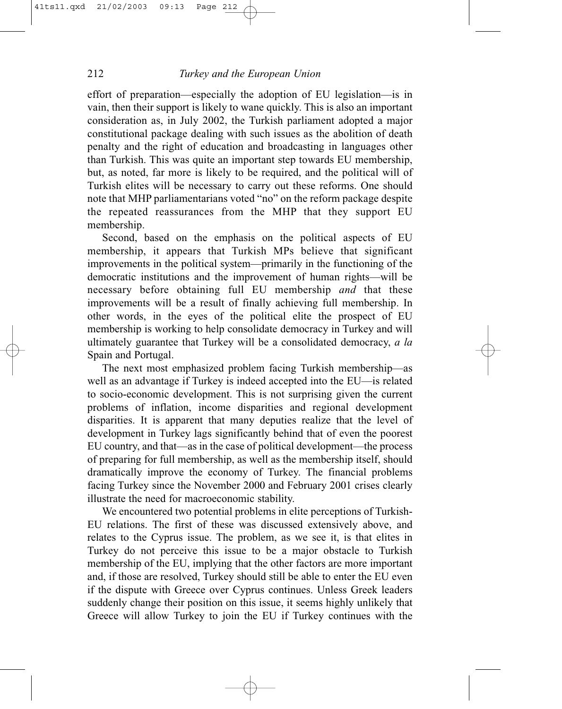effort of preparation—especially the adoption of EU legislation—is in vain, then their support is likely to wane quickly. This is also an important consideration as, in July 2002, the Turkish parliament adopted a major constitutional package dealing with such issues as the abolition of death penalty and the right of education and broadcasting in languages other than Turkish. This was quite an important step towards EU membership, but, as noted, far more is likely to be required, and the political will of Turkish elites will be necessary to carry out these reforms. One should note that MHP parliamentarians voted "no" on the reform package despite the repeated reassurances from the MHP that they support EU membership.

Second, based on the emphasis on the political aspects of EU membership, it appears that Turkish MPs believe that significant improvements in the political system—primarily in the functioning of the democratic institutions and the improvement of human rights—will be necessary before obtaining full EU membership *and* that these improvements will be a result of finally achieving full membership. In other words, in the eyes of the political elite the prospect of EU membership is working to help consolidate democracy in Turkey and will ultimately guarantee that Turkey will be a consolidated democracy, *a la* Spain and Portugal.

The next most emphasized problem facing Turkish membership—as well as an advantage if Turkey is indeed accepted into the EU—is related to socio-economic development. This is not surprising given the current problems of inflation, income disparities and regional development disparities. It is apparent that many deputies realize that the level of development in Turkey lags significantly behind that of even the poorest EU country, and that—as in the case of political development—the process of preparing for full membership, as well as the membership itself, should dramatically improve the economy of Turkey. The financial problems facing Turkey since the November 2000 and February 2001 crises clearly illustrate the need for macroeconomic stability.

We encountered two potential problems in elite perceptions of Turkish-EU relations. The first of these was discussed extensively above, and relates to the Cyprus issue. The problem, as we see it, is that elites in Turkey do not perceive this issue to be a major obstacle to Turkish membership of the EU, implying that the other factors are more important and, if those are resolved, Turkey should still be able to enter the EU even if the dispute with Greece over Cyprus continues. Unless Greek leaders suddenly change their position on this issue, it seems highly unlikely that Greece will allow Turkey to join the EU if Turkey continues with the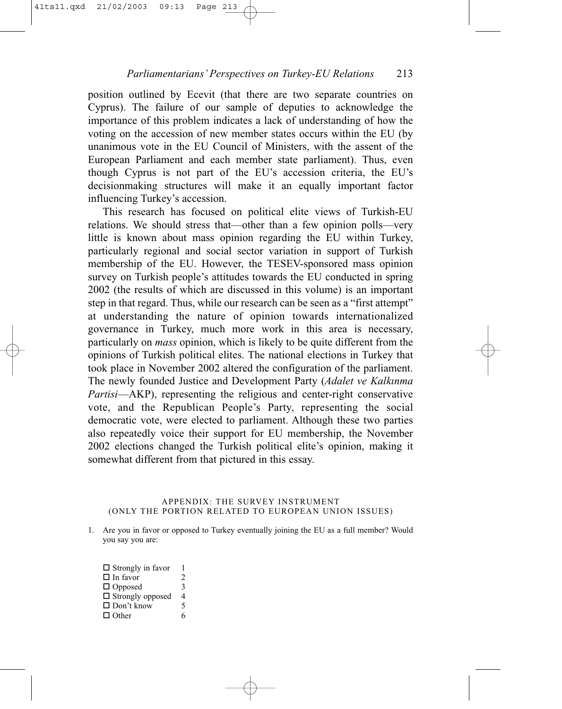position outlined by Ecevit (that there are two separate countries on Cyprus). The failure of our sample of deputies to acknowledge the importance of this problem indicates a lack of understanding of how the voting on the accession of new member states occurs within the EU (by unanimous vote in the EU Council of Ministers, with the assent of the European Parliament and each member state parliament). Thus, even though Cyprus is not part of the EU's accession criteria, the EU's decisionmaking structures will make it an equally important factor influencing Turkey's accession.

This research has focused on political elite views of Turkish-EU relations. We should stress that—other than a few opinion polls—very little is known about mass opinion regarding the EU within Turkey, particularly regional and social sector variation in support of Turkish membership of the EU. However, the TESEV-sponsored mass opinion survey on Turkish people's attitudes towards the EU conducted in spring 2002 (the results of which are discussed in this volume) is an important step in that regard. Thus, while our research can be seen as a "first attempt" at understanding the nature of opinion towards internationalized governance in Turkey, much more work in this area is necessary, particularly on *mass* opinion, which is likely to be quite different from the opinions of Turkish political elites. The national elections in Turkey that took place in November 2002 altered the configuration of the parliament. The newly founded Justice and Development Party (*Adalet ve Kalkınma Partisi*—AKP), representing the religious and center-right conservative vote, and the Republican People's Party, representing the social democratic vote, were elected to parliament. Although these two parties also repeatedly voice their support for EU membership, the November 2002 elections changed the Turkish political elite's opinion, making it somewhat different from that pictured in this essay.

#### APPENDIX: THE SURVEY INSTRUMENT (ONLY THE PORTION RELATED TO EUROPEAN UNION ISSUES)

1. Are you in favor or opposed to Turkey eventually joining the EU as a full member? Would you say you are:

 $\square$  Strongly in favor 1<br> $\square$  In favor 2  $\Box$  In favor  $\Box$  Opposed 3  $\Box$  Strongly opposed 4 □ Don't know 5  $\Box$  Other 6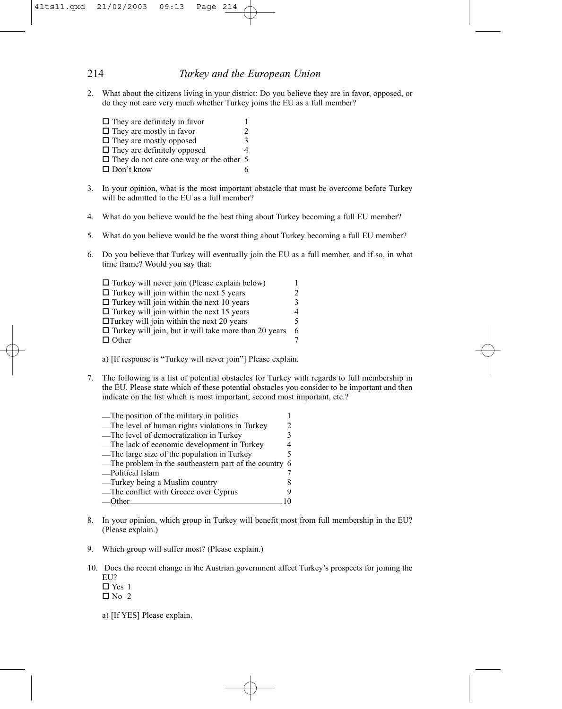- 2. What about the citizens living in your district: Do you believe they are in favor, opposed, or do they not care very much whether Turkey joins the EU as a full member?
	- $\Box$  They are definitely in favor 1  $\Box$  They are mostly in favor 2  $\Box$  They are mostly opposed  $3$  $\Box$  They are definitely opposed 4  $\Box$  They do not care one way or the other 5  $\Box$  Don't know 6
- 3. In your opinion, what is the most important obstacle that must be overcome before Turkey will be admitted to the EU as a full member?
- 4. What do you believe would be the best thing about Turkey becoming a full EU member?
- 5. What do you believe would be the worst thing about Turkey becoming a full EU member?
- 6. Do you believe that Turkey will eventually join the EU as a full member, and if so, in what time frame? Would you say that:

| $\mathfrak{D}$ |
|----------------|
| 3              |
| 4              |
| 5              |
| 6              |
|                |
|                |

a) [If response is "Turkey will never join"] Please explain.

7. The following is a list of potential obstacles for Turkey with regards to full membership in the EU. Please state which of these potential obstacles you consider to be important and then indicate on the list which is most important, second most important, etc.?

| — The position of the military in politics            |   |
|-------------------------------------------------------|---|
| -The level of human rights violations in Turkey       | 2 |
| -The level of democratization in Turkey               | 3 |
| The lack of economic development in Turkey            |   |
| — The large size of the population in Turkey          | 5 |
| The problem in the southeastern part of the country 6 |   |
| -Political Islam                                      |   |
| —Turkey being a Muslim country                        |   |
| — The conflict with Greece over Cyprus                |   |
| Other.                                                |   |

- 8. In your opinion, which group in Turkey will benefit most from full membership in the EU? (Please explain.)
- 9. Which group will suffer most? (Please explain.)
- 10. Does the recent change in the Austrian government affect Turkey's prospects for joining the EU?  $\Box$  Yes 1

 $\Box$  No 2

a) [If YES] Please explain.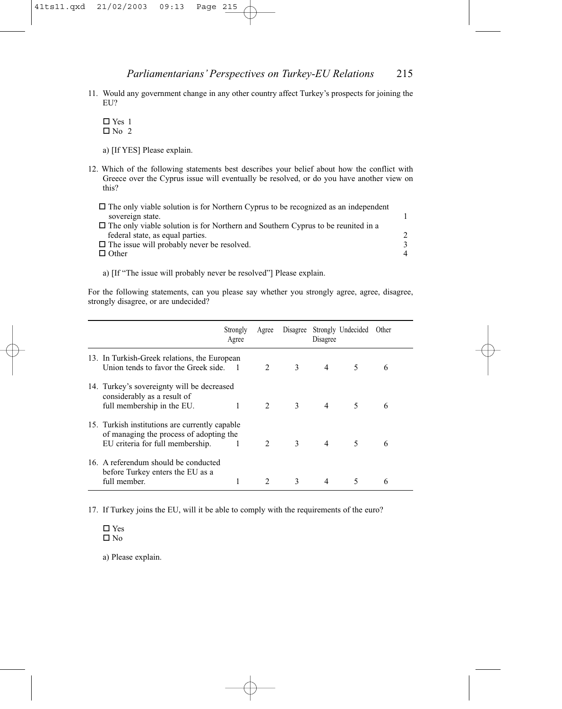11. Would any government change in any other country affect Turkey's prospects for joining the EU?

 Yes 1  $\Box$  No 2

- a) [If YES] Please explain.
- 12. Which of the following statements best describes your belief about how the conflict with Greece over the Cyprus issue will eventually be resolved, or do you have another view on this?
	- $\Box$  The only viable solution is for Northern Cyprus to be recognized as an independent sovereign state. 1  $\Box$  The only viable solution is for Northern and Southern Cyprus to be reunited in a
	- federal state, as equal parties. 2<br>The issue will probably never be resolved. 3  $\Box$  The issue will probably never be resolved.  $\Box$  3<br> $\Box$  Other 4  $\Box$  Other 4
	-
	- a) [If "The issue will probably never be resolved"] Please explain.

For the following statements, can you please say whether you strongly agree, agree, disagree, strongly disagree, or are undecided?

|                                                                                                                                | Strongly<br>Agree | Agree         | Disagree | Disagree | Strongly Undecided | Other |
|--------------------------------------------------------------------------------------------------------------------------------|-------------------|---------------|----------|----------|--------------------|-------|
| 13. In Turkish-Greek relations, the European<br>Union tends to favor the Greek side.                                           |                   | 2             | 3        | 4        | 5                  | 6     |
| 14. Turkey's sovereignty will be decreased<br>considerably as a result of<br>full membership in the EU.                        | 1                 | $\mathcal{L}$ | 3        | 4        | 5                  | 6     |
| 15. Turkish institutions are currently capable.<br>of managing the process of adopting the<br>EU criteria for full membership. |                   | 2             | 3        | 4        | 5                  | 6     |
| 16. A referendum should be conducted<br>before Turkey enters the EU as a<br>full member.                                       |                   | $\mathcal{P}$ | 3        |          | 5                  | 6     |

17. If Turkey joins the EU, will it be able to comply with the requirements of the euro?

#### □ Yes  $\Box$  No

a) Please explain.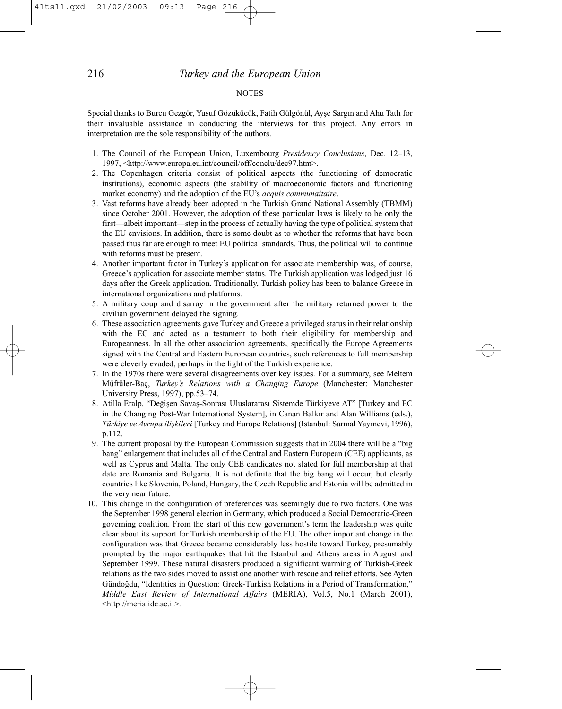#### **NOTES**

Special thanks to Burcu Gezgör, Yusuf Gözükücük, Fatih Gülgönül, Ayşe Sargın and Ahu Tatlı for their invaluable assistance in conducting the interviews for this project. Any errors in interpretation are the sole responsibility of the authors.

- 1. The Council of the European Union, Luxembourg *Presidency Conclusions*, Dec. 12–13, 1997, <http://www.europa.eu.int/council/off/conclu/dec97.htm>.
- 2. The Copenhagen criteria consist of political aspects (the functioning of democratic institutions), economic aspects (the stability of macroeconomic factors and functioning market economy) and the adoption of the EU's *acquis communaitaire*.
- 3. Vast reforms have already been adopted in the Turkish Grand National Assembly (TBMM) since October 2001. However, the adoption of these particular laws is likely to be only the first—albeit important—step in the process of actually having the type of political system that the EU envisions. In addition, there is some doubt as to whether the reforms that have been passed thus far are enough to meet EU political standards. Thus, the political will to continue with reforms must be present.
- 4. Another important factor in Turkey's application for associate membership was, of course, Greece's application for associate member status. The Turkish application was lodged just 16 days after the Greek application. Traditionally, Turkish policy has been to balance Greece in international organizations and platforms.
- 5. A military coup and disarray in the government after the military returned power to the civilian government delayed the signing.
- 6. These association agreements gave Turkey and Greece a privileged status in their relationship with the EC and acted as a testament to both their eligibility for membership and Europeanness. In all the other association agreements, specifically the Europe Agreements signed with the Central and Eastern European countries, such references to full membership were cleverly evaded, perhaps in the light of the Turkish experience.
- 7. In the 1970s there were several disagreements over key issues. For a summary, see Meltem Müftüler-Baç, *Turkey's Relations with a Changing Europe* (Manchester: Manchester University Press, 1997), pp.53–74.
- 8. Atilla Eralp, "Değişen Savaş-Sonrası Uluslararası Sistemde Türkiyeve AT" [Turkey and EC in the Changing Post-War International System], in Canan Balkır and Alan Williams (eds.), *Türkiye ve Avrupa ilişkileri* [Turkey and Europe Relations] (Istanbul: Sarmal Yayınevi, 1996), p.112.
- 9. The current proposal by the European Commission suggests that in 2004 there will be a "big bang" enlargement that includes all of the Central and Eastern European (CEE) applicants, as well as Cyprus and Malta. The only CEE candidates not slated for full membership at that date are Romania and Bulgaria. It is not definite that the big bang will occur, but clearly countries like Slovenia, Poland, Hungary, the Czech Republic and Estonia will be admitted in the very near future.
- 10. This change in the configuration of preferences was seemingly due to two factors. One was the September 1998 general election in Germany, which produced a Social Democratic-Green governing coalition. From the start of this new government's term the leadership was quite clear about its support for Turkish membership of the EU. The other important change in the configuration was that Greece became considerably less hostile toward Turkey, presumably prompted by the major earthquakes that hit the Istanbul and Athens areas in August and September 1999. These natural disasters produced a significant warming of Turkish-Greek relations as the two sides moved to assist one another with rescue and relief efforts. See Ayten Gündoğdu, "Identities in Question: Greek-Turkish Relations in a Period of Transformation," *Middle East Review of International Affairs* (MERIA), Vol.5, No.1 (March 2001), <http://meria.idc.ac.il>.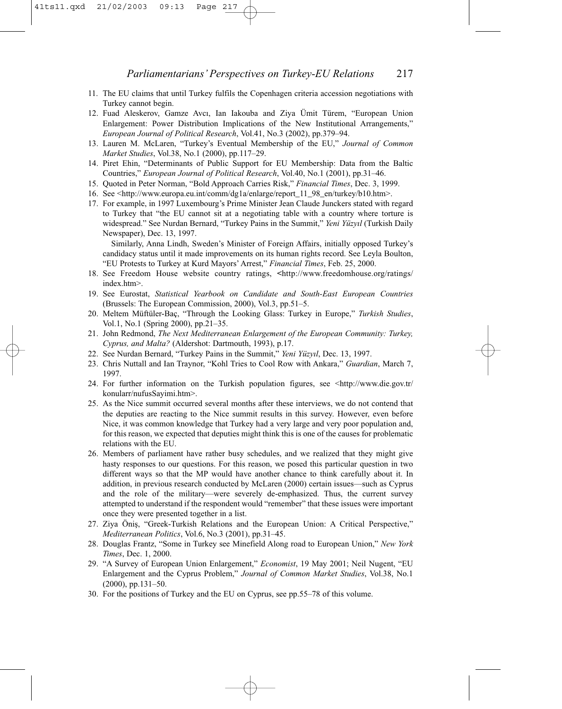11. The EU claims that until Turkey fulfils the Copenhagen criteria accession negotiations with Turkey cannot begin.

41ts11.qxd 21/02/2003 09

- 12. Fuad Aleskerov, Gamze Avcı, Ian Iakouba and Ziya Ümit Türem, "European Union Enlargement: Power Distribution Implications of the New Institutional Arrangements," *European Journal of Political Research*, Vol.41, No.3 (2002), pp.379–94.
- 13. Lauren M. McLaren, "Turkey's Eventual Membership of the EU," *Journal of Common Market Studies*, Vol.38, No.1 (2000), pp.117–29.
- 14. Piret Ehin, "Determinants of Public Support for EU Membership: Data from the Baltic Countries," *European Journal of Political Research*, Vol.40, No.1 (2001), pp.31–46.
- 15. Quoted in Peter Norman, "Bold Approach Carries Risk," *Financial Times*, Dec. 3, 1999.
- 16. See <http://www.europa.eu.int/comm/dg1a/enlarge/report\_11\_98\_en/turkey/b10.htm>.
- 17. For example, in 1997 Luxembourg's Prime Minister Jean Claude Junckers stated with regard to Turkey that "the EU cannot sit at a negotiating table with a country where torture is widespread." See Nurdan Bernard, "Turkey Pains in the Summit," *Yeni Yüzyıl* (Turkish Daily Newspaper), Dec. 13, 1997.

Similarly, Anna Lindh, Sweden's Minister of Foreign Affairs, initially opposed Turkey's candidacy status until it made improvements on its human rights record. See Leyla Boulton, "EU Protests to Turkey at Kurd Mayors' Arrest," *Financial Times*, Feb. 25, 2000.

- 18. See Freedom House website country ratings, **<**http://www.freedomhouse.org/ratings/ index.htm>.
- 19. See Eurostat, *Statistical Yearbook on Candidate and South-East European Countries* (Brussels: The European Commission, 2000), Vol.3, pp.51–5.
- 20. Meltem Müftüler-Baç, "Through the Looking Glass: Turkey in Europe," *Turkish Studies*, Vol.1, No.1 (Spring 2000), pp.21–35.
- 21. John Redmond, *The Next Mediterranean Enlargement of the European Community: Turkey, Cyprus, and Malta?* (Aldershot: Dartmouth, 1993), p.17.
- 22. See Nurdan Bernard, "Turkey Pains in the Summit," *Yeni Yüzyıl*, Dec. 13, 1997.
- 23. Chris Nuttall and Ian Traynor, "Kohl Tries to Cool Row with Ankara," *Guardian*, March 7, 1997.
- 24. For further information on the Turkish population figures, see <http://www.die.gov.tr/ konularr/nufusSayimi.htm>.
- 25. As the Nice summit occurred several months after these interviews, we do not contend that the deputies are reacting to the Nice summit results in this survey. However, even before Nice, it was common knowledge that Turkey had a very large and very poor population and, for this reason, we expected that deputies might think this is one of the causes for problematic relations with the EU.
- 26. Members of parliament have rather busy schedules, and we realized that they might give hasty responses to our questions. For this reason, we posed this particular question in two different ways so that the MP would have another chance to think carefully about it. In addition, in previous research conducted by McLaren (2000) certain issues—such as Cyprus and the role of the military—were severely de-emphasized. Thus, the current survey attempted to understand if the respondent would "remember" that these issues were important once they were presented together in a list.
- 27. Ziya Öniş, "Greek-Turkish Relations and the European Union: A Critical Perspective," *Mediterranean Politics*, Vol.6, No.3 (2001), pp.31–45.
- 28. Douglas Frantz, "Some in Turkey see Minefield Along road to European Union," *New York Times*, Dec. 1, 2000.
- 29. "A Survey of European Union Enlargement," *Economist*, 19 May 2001; Neil Nugent, "EU Enlargement and the Cyprus Problem," *Journal of Common Market Studies*, Vol.38, No.1 (2000), pp.131–50.
- 30. For the positions of Turkey and the EU on Cyprus, see pp.55–78 of this volume.